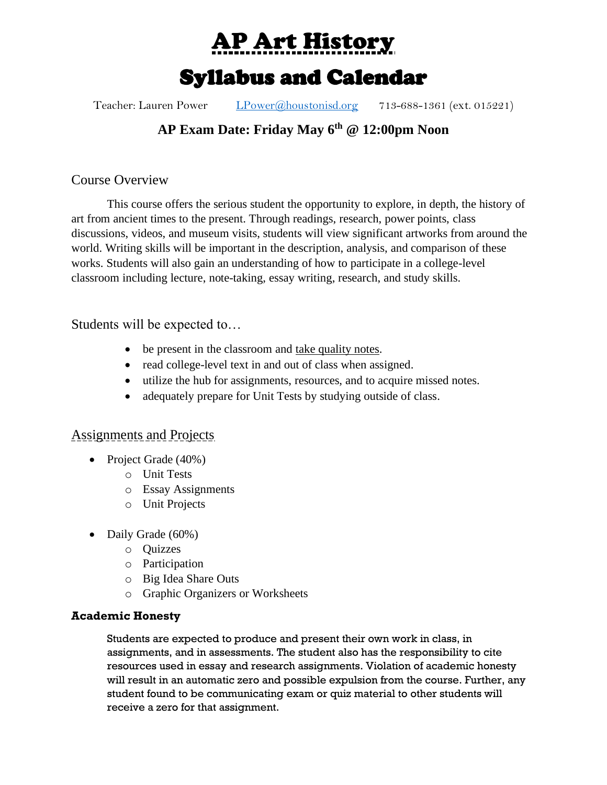AP Art History

# Syllabus and Calendar

Teacher: Lauren Power [LPower@houstonisd.org](mailto:LPower@houstonisd.org) 713-688-1361 (ext. 015221)

## **AP Exam Date: Friday May 6th @ 12:00pm Noon**

Course Overview

This course offers the serious student the opportunity to explore, in depth, the history of art from ancient times to the present. Through readings, research, power points, class discussions, videos, and museum visits, students will view significant artworks from around the world. Writing skills will be important in the description, analysis, and comparison of these works. Students will also gain an understanding of how to participate in a college-level classroom including lecture, note-taking, essay writing, research, and study skills.

Students will be expected to…

- be present in the classroom and take quality notes.
- read college-level text in and out of class when assigned.
- utilize the hub for assignments, resources, and to acquire missed notes.
- adequately prepare for Unit Tests by studying outside of class.

## Assignments and Projects

- Project Grade (40%)
	- o Unit Tests
	- o Essay Assignments
	- o Unit Projects
- Daily Grade (60%)
	- o Quizzes
	- o Participation
	- o Big Idea Share Outs
	- o Graphic Organizers or Worksheets

## **Academic Honesty**

Students are expected to produce and present their own work in class, in assignments, and in assessments. The student also has the responsibility to cite resources used in essay and research assignments. Violation of academic honesty will result in an automatic zero and possible expulsion from the course. Further, any student found to be communicating exam or quiz material to other students will receive a zero for that assignment.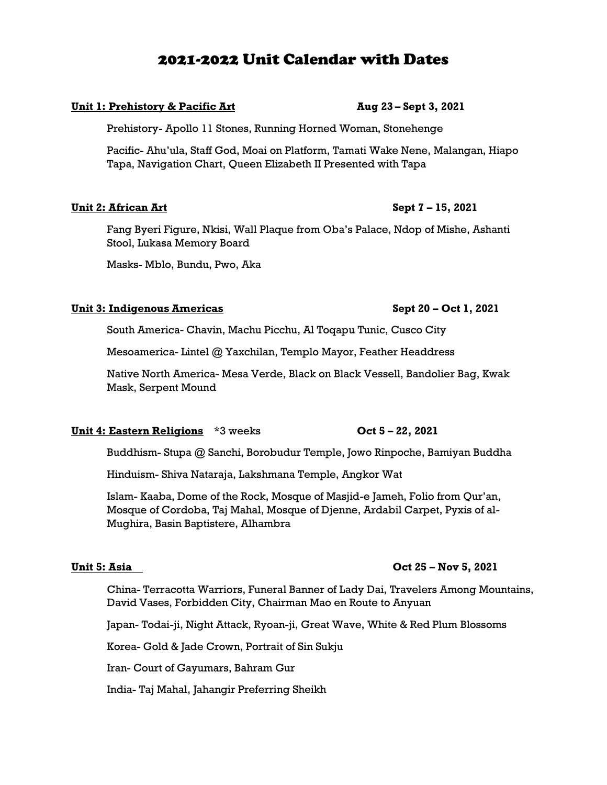## 2021-2022 Unit Calendar with Dates

### **Unit 1: Prehistory & Pacific Art Aug 23 – Sept 3, 2021**

Prehistory- Apollo 11 Stones, Running Horned Woman, Stonehenge

Pacific- Ahu'ula, Staff God, Moai on Platform, Tamati Wake Nene, Malangan, Hiapo Tapa, Navigation Chart, Queen Elizabeth II Presented with Tapa

### **Unit 2: African Art Sept 7 – 15, 2021**

Fang Byeri Figure, Nkisi, Wall Plaque from Oba's Palace, Ndop of Mishe, Ashanti Stool, Lukasa Memory Board

Masks- Mblo, Bundu, Pwo, Aka

#### **Unit 3: Indigenous Americas Sept 20 – Oct 1, 2021**

South America- Chavin, Machu Picchu, Al Toqapu Tunic, Cusco City

Mesoamerica- Lintel @ Yaxchilan, Templo Mayor, Feather Headdress

Native North America- Mesa Verde, Black on Black Vessell, Bandolier Bag, Kwak Mask, Serpent Mound

#### **Unit 4: Eastern Religions** \*3 weeks **Oct 5 – 22, 2021**

Buddhism- Stupa @ Sanchi, Borobudur Temple, Jowo Rinpoche, Bamiyan Buddha

Hinduism- Shiva Nataraja, Lakshmana Temple, Angkor Wat

Islam- Kaaba, Dome of the Rock, Mosque of Masjid-e Jameh, Folio from Qur'an, Mosque of Cordoba, Taj Mahal, Mosque of Djenne, Ardabil Carpet, Pyxis of al-Mughira, Basin Baptistere, Alhambra

China- Terracotta Warriors, Funeral Banner of Lady Dai, Travelers Among Mountains, David Vases, Forbidden City, Chairman Mao en Route to Anyuan

Japan- Todai-ji, Night Attack, Ryoan-ji, Great Wave, White & Red Plum Blossoms

Korea- Gold & Jade Crown, Portrait of Sin Sukju

Iran- Court of Gayumars, Bahram Gur

India- Taj Mahal, Jahangir Preferring Sheikh

### **Unit 5: Asia Oct 25 – Nov 5, 2021**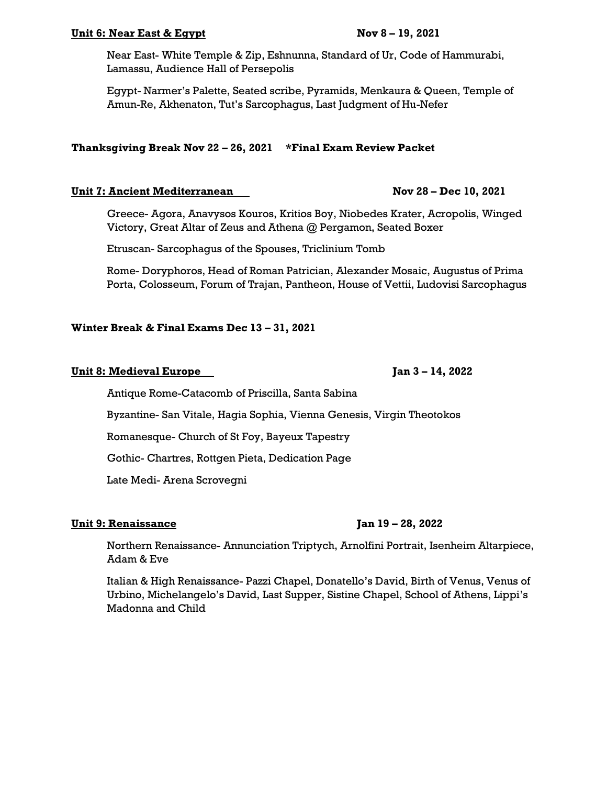### **Unit 6: Near East & Egypt Nov 8 – 19, 2021**

Near East- White Temple & Zip, Eshnunna, Standard of Ur, Code of Hammurabi, Lamassu, Audience Hall of Persepolis

Egypt- Narmer's Palette, Seated scribe, Pyramids, Menkaura & Queen, Temple of Amun-Re, Akhenaton, Tut's Sarcophagus, Last Judgment of Hu-Nefer

### **Thanksgiving Break Nov 22 – 26, 2021 \*Final Exam Review Packet**

#### **Unit 7: Ancient Mediterranean Nov 28 – Dec 10, 2021**

Greece- Agora, Anavysos Kouros, Kritios Boy, Niobedes Krater, Acropolis, Winged Victory, Great Altar of Zeus and Athena @ Pergamon, Seated Boxer

Etruscan- Sarcophagus of the Spouses, Triclinium Tomb

Rome- Doryphoros, Head of Roman Patrician, Alexander Mosaic, Augustus of Prima Porta, Colosseum, Forum of Trajan, Pantheon, House of Vettii, Ludovisi Sarcophagus

### **Winter Break & Final Exams Dec 13 – 31, 2021**

#### **Unit 8: Medieval Europe Jan 3 – 14, 2022**

Antique Rome-Catacomb of Priscilla, Santa Sabina

Byzantine- San Vitale, Hagia Sophia, Vienna Genesis, Virgin Theotokos

Romanesque- Church of St Foy, Bayeux Tapestry

Gothic- Chartres, Rottgen Pieta, Dedication Page

Late Medi- Arena Scrovegni

#### **Unit 9: Renaissance Jan 19 – 28, 2022**

Northern Renaissance- Annunciation Triptych, Arnolfini Portrait, Isenheim Altarpiece, Adam & Eve

Italian & High Renaissance- Pazzi Chapel, Donatello's David, Birth of Venus, Venus of Urbino, Michelangelo's David, Last Supper, Sistine Chapel, School of Athens, Lippi's Madonna and Child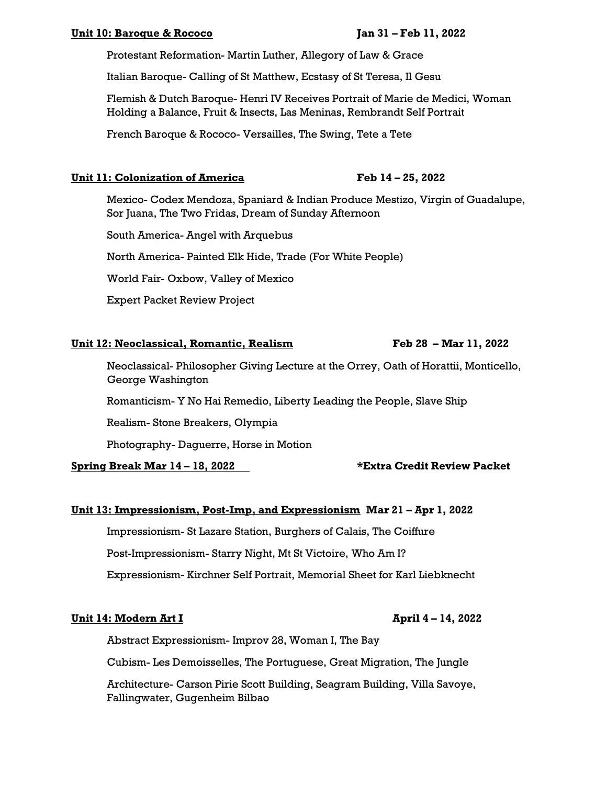#### **Unit 10: Baroque & Rococo Jan 31 – Feb 11, 2022**

Protestant Reformation- Martin Luther, Allegory of Law & Grace

Italian Baroque- Calling of St Matthew, Ecstasy of St Teresa, Il Gesu

Flemish & Dutch Baroque- Henri IV Receives Portrait of Marie de Medici, Woman Holding a Balance, Fruit & Insects, Las Meninas, Rembrandt Self Portrait

French Baroque & Rococo- Versailles, The Swing, Tete a Tete

### **Unit 11: Colonization of America Feb 14 – 25, 2022**

Mexico- Codex Mendoza, Spaniard & Indian Produce Mestizo, Virgin of Guadalupe, Sor Juana, The Two Fridas, Dream of Sunday Afternoon

South America- Angel with Arquebus

North America- Painted Elk Hide, Trade (For White People)

World Fair- Oxbow, Valley of Mexico

Expert Packet Review Project

### **Unit 12: Neoclassical, Romantic, Realism Feb 28 – Mar 11, 2022**

Neoclassical- Philosopher Giving Lecture at the Orrey, Oath of Horattii, Monticello, George Washington

Romanticism- Y No Hai Remedio, Liberty Leading the People, Slave Ship

Realism- Stone Breakers, Olympia

Photography- Daguerre, Horse in Motion

**Spring Break Mar 14 – 18, 2022 \*Extra Credit Review Packet**

### **Unit 13: Impressionism, Post-Imp, and Expressionism Mar 21 – Apr 1, 2022**

Impressionism- St Lazare Station, Burghers of Calais, The Coiffure Post-Impressionism- Starry Night, Mt St Victoire, Who Am I? Expressionism- Kirchner Self Portrait, Memorial Sheet for Karl Liebknecht

### **Unit 14: Modern Art I April 4 – 14, 2022**

Abstract Expressionism- Improv 28, Woman I, The Bay

Cubism- Les Demoisselles, The Portuguese, Great Migration, The Jungle

Architecture- Carson Pirie Scott Building, Seagram Building, Villa Savoye, Fallingwater, Gugenheim Bilbao